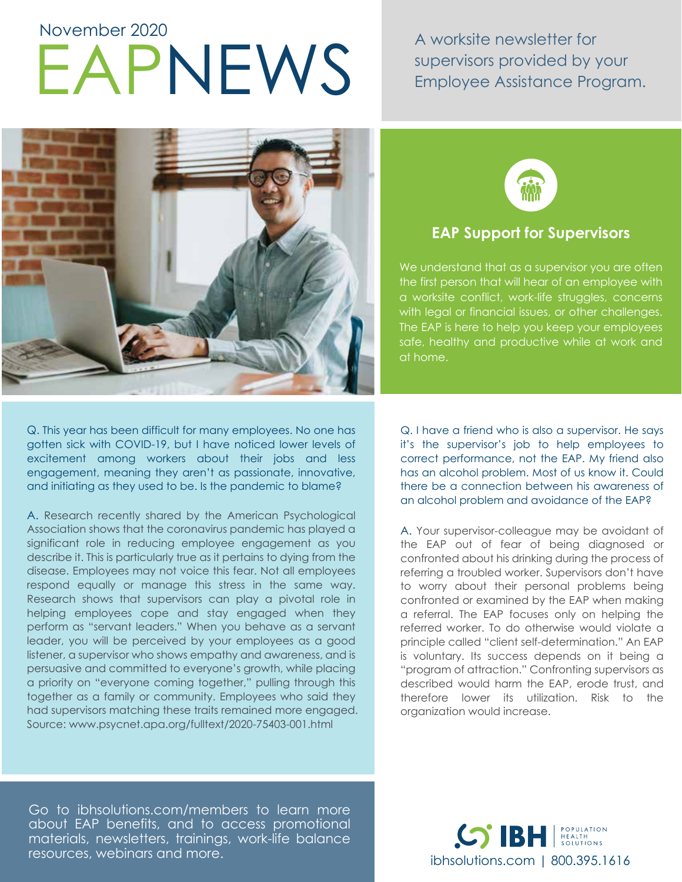# APNEWS A worksite newsletter for<br>EXPINEWS Employee Assistance Pro November 2020

supervisors provided by your Employee Assistance Program.



Q. This year has been difficult for many employees. No one has gotten sick with COVID-19, but I have noticed lower levels of excitement among workers about their jobs and less engagement, meaning they aren't as passionate, innovative, and initiating as they used to be. Is the pandemic to blame?

A. Research recently shared by the American Psychological Association shows that the coronavirus pandemic has played a significant role in reducing employee engagement as you describe it. This is particularly true as it pertains to dying from the disease. Employees may not voice this fear. Not all employees respond equally or manage this stress in the same way. Research shows that supervisors can play a pivotal role in helping employees cope and stay engaged when they perform as "servant leaders." When you behave as a servant leader, you will be perceived by your employees as a good listener, a supervisor who shows empathy and awareness, and is persuasive and committed to everyone's growth, while placing a priority on "everyone coming together," pulling through this together as a family or community. Employees who said they had supervisors matching these traits remained more engaged. Source: www.psycnet.apa.org/fulltext/2020-75403-001.html



# **EAP Support for Supervisors**

We understand that as a supervisor you are often the first person that will hear of an employee with a worksite conflict, work-life struggles, concerns with legal or financial issues, or other challenges. The EAP is here to help you keep your employees safe, healthy and productive while at work and at home.

Q. I have a friend who is also a supervisor. He says it's the supervisor's job to help employees to correct performance, not the EAP. My friend also has an alcohol problem. Most of us know it. Could there be a connection between his awareness of an alcohol problem and avoidance of the EAP?

A. Your supervisor-colleague may be avoidant of the EAP out of fear of being diagnosed or confronted about his drinking during the process of referring a troubled worker. Supervisors don't have to worry about their personal problems being confronted or examined by the EAP when making a referral. The EAP focuses only on helping the referred worker. To do otherwise would violate a principle called "client self-determination." An EAP is voluntary. Its success depends on it being a "program of attraction." Confronting supervisors as described would harm the EAP, erode trust, and therefore lower its utilization. Risk to the organization would increase.

Go to ibhsolutions.com/members to learn more about EAP benefits, and to access promotional materials, newsletters, trainings, work-life balance resources, webinars and more.